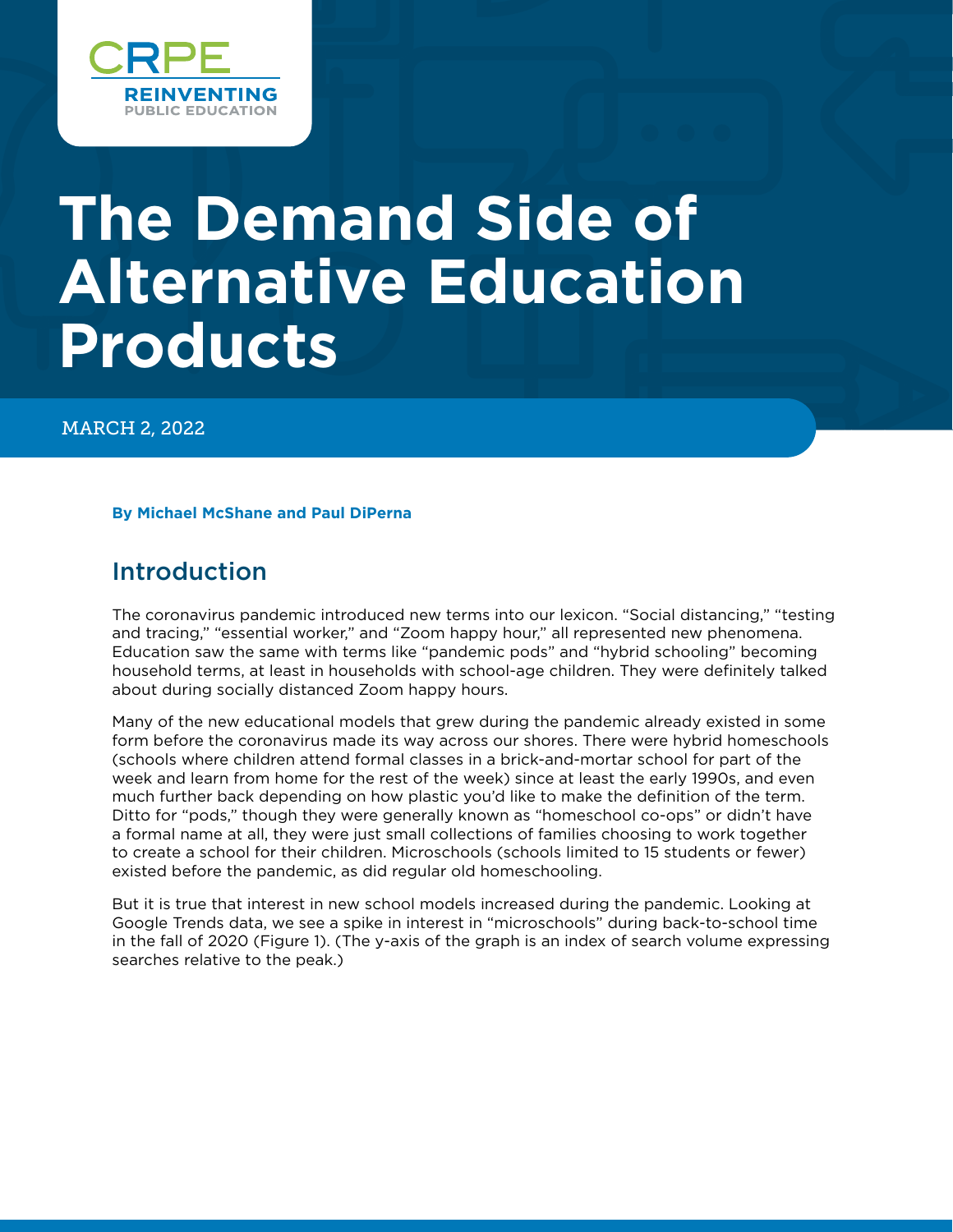

# **The Demand Side of Alternative Education Products**

MARCH 2, 2022

**By Michael McShane and Paul DiPerna**

# Introduction

The coronavirus pandemic introduced new terms into our lexicon. "Social distancing," "testing and tracing," "essential worker," and "Zoom happy hour," all represented new phenomena. Education saw the same with terms like "pandemic pods" and "hybrid schooling" becoming household terms, at least in households with school-age children. They were definitely talked about during socially distanced Zoom happy hours.

Many of the new educational models that grew during the pandemic already existed in some form before the coronavirus made its way across our shores. There were hybrid homeschools (schools where children attend formal classes in a brick-and-mortar school for part of the week and learn from home for the rest of the week) since at least the early 1990s, and even much further back depending on how plastic you'd like to make the definition of the term. Ditto for "pods," though they were generally known as "homeschool co-ops" or didn't have a formal name at all, they were just small collections of families choosing to work together to create a school for their children. Microschools (schools limited to 15 students or fewer) existed before the pandemic, as did regular old homeschooling.

But it is true that interest in new school models increased during the pandemic. Looking at Google Trends data, we see a spike in interest in "microschools" during back-to-school time in the fall of 2020 (Figure 1). (The y-axis of the graph is an index of search volume expressing searches relative to the peak.)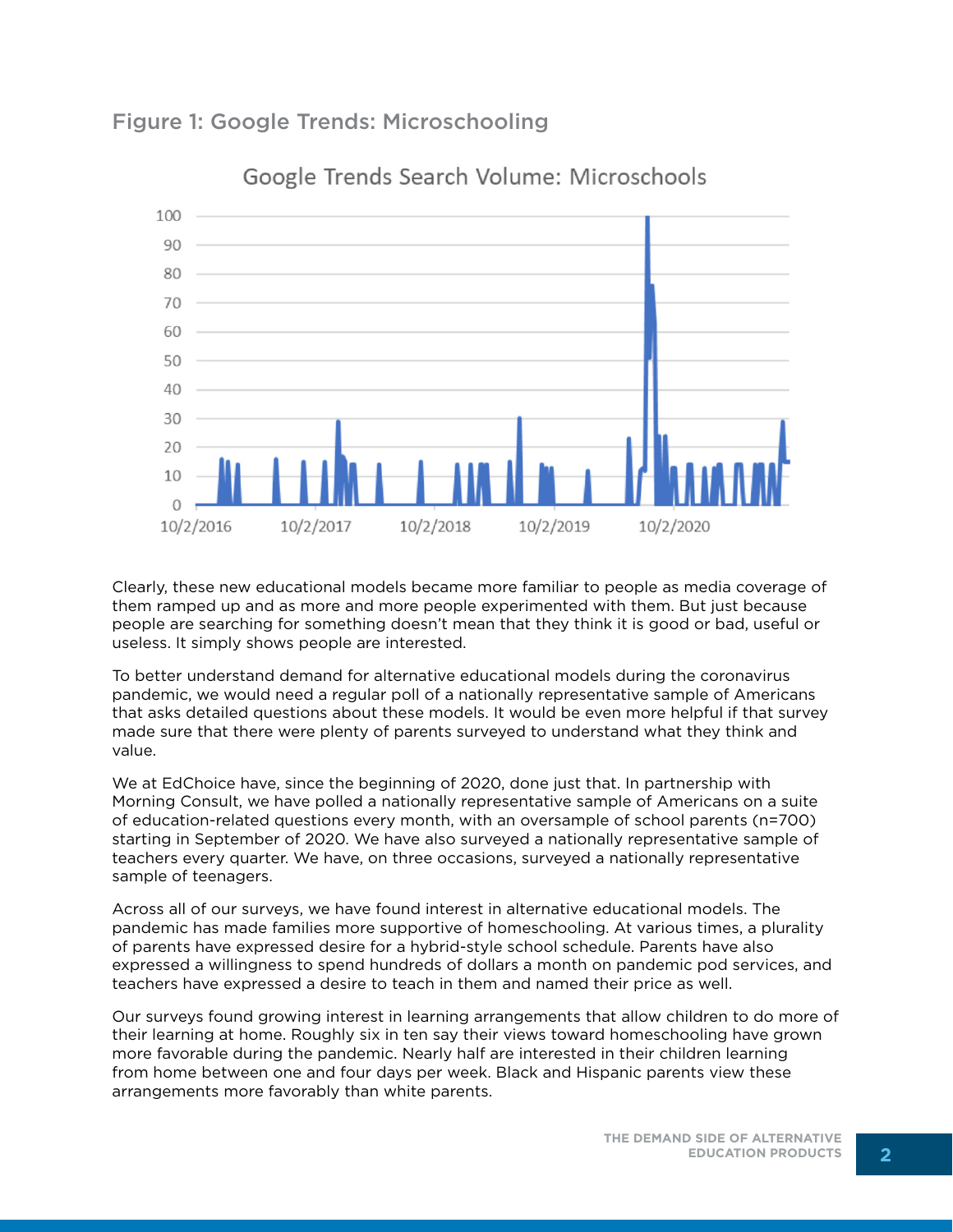Figure 1: Google Trends: Microschooling



Google Trends Search Volume: Microschools

Clearly, these new educational models became more familiar to people as media coverage of them ramped up and as more and more people experimented with them. But just because people are searching for something doesn't mean that they think it is good or bad, useful or useless. It simply shows people are interested.

To better understand demand for alternative educational models during the coronavirus pandemic, we would need a regular poll of a nationally representative sample of Americans that asks detailed questions about these models. It would be even more helpful if that survey made sure that there were plenty of parents surveyed to understand what they think and value.

We at EdChoice have, since the beginning of 2020, done just that. In partnership with Morning Consult, we have polled a nationally representative sample of Americans on a suite of education-related questions every month, with an oversample of school parents (n=700) starting in September of 2020. We have also surveyed a nationally representative sample of teachers every quarter. We have, on three occasions, surveyed a nationally representative sample of teenagers.

Across all of our surveys, we have found interest in alternative educational models. The pandemic has made families more supportive of homeschooling. At various times, a plurality of parents have expressed desire for a hybrid-style school schedule. Parents have also expressed a willingness to spend hundreds of dollars a month on pandemic pod services, and teachers have expressed a desire to teach in them and named their price as well.

Our surveys found growing interest in learning arrangements that allow children to do more of their learning at home. Roughly six in ten say their views toward homeschooling have grown more favorable during the pandemic. Nearly half are interested in their children learning from home between one and four days per week. Black and Hispanic parents view these arrangements more favorably than white parents.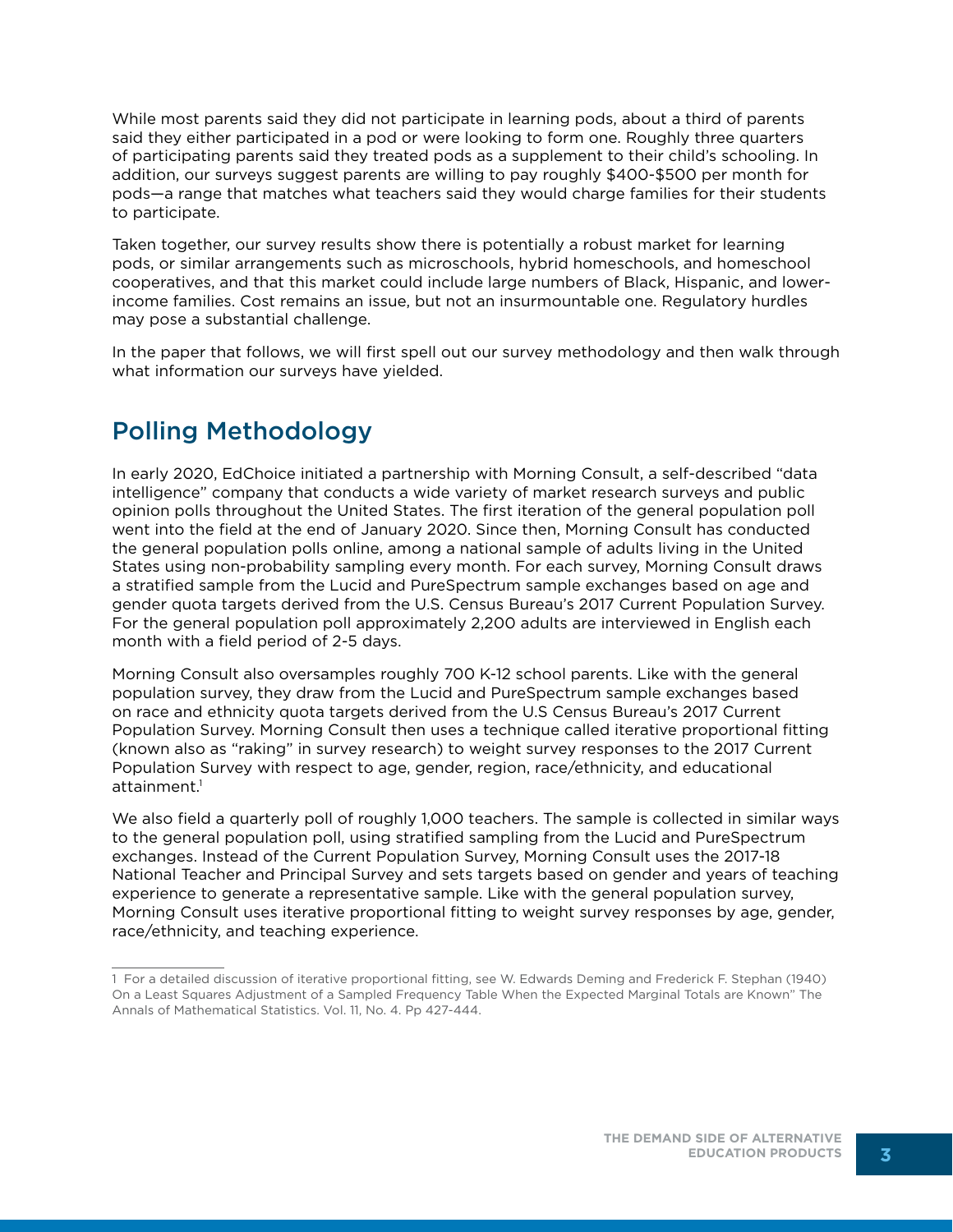While most parents said they did not participate in learning pods, about a third of parents said they either participated in a pod or were looking to form one. Roughly three quarters of participating parents said they treated pods as a supplement to their child's schooling. In addition, our surveys suggest parents are willing to pay roughly \$400-\$500 per month for pods—a range that matches what teachers said they would charge families for their students to participate.

Taken together, our survey results show there is potentially a robust market for learning pods, or similar arrangements such as microschools, hybrid homeschools, and homeschool cooperatives, and that this market could include large numbers of Black, Hispanic, and lowerincome families. Cost remains an issue, but not an insurmountable one. Regulatory hurdles may pose a substantial challenge.

In the paper that follows, we will first spell out our survey methodology and then walk through what information our surveys have yielded.

# Polling Methodology

In early 2020, EdChoice initiated a partnership with Morning Consult, a self-described "data intelligence" company that conducts a wide variety of market research surveys and public opinion polls throughout the United States. The first iteration of the general population poll went into the field at the end of January 2020. Since then, Morning Consult has conducted the general population polls online, among a national sample of adults living in the United States using non-probability sampling every month. For each survey, Morning Consult draws a stratified sample from the Lucid and PureSpectrum sample exchanges based on age and gender quota targets derived from the U.S. Census Bureau's 2017 Current Population Survey. For the general population poll approximately 2,200 adults are interviewed in English each month with a field period of 2-5 days.

Morning Consult also oversamples roughly 700 K-12 school parents. Like with the general population survey, they draw from the Lucid and PureSpectrum sample exchanges based on race and ethnicity quota targets derived from the U.S Census Bureau's 2017 Current Population Survey. Morning Consult then uses a technique called iterative proportional fitting (known also as "raking" in survey research) to weight survey responses to the 2017 Current Population Survey with respect to age, gender, region, race/ethnicity, and educational attainment.<sup>1</sup>

We also field a quarterly poll of roughly 1,000 teachers. The sample is collected in similar ways to the general population poll, using stratified sampling from the Lucid and PureSpectrum exchanges. Instead of the Current Population Survey, Morning Consult uses the 2017-18 National Teacher and Principal Survey and sets targets based on gender and years of teaching experience to generate a representative sample. Like with the general population survey, Morning Consult uses iterative proportional fitting to weight survey responses by age, gender, race/ethnicity, and teaching experience.

<sup>1</sup> For a detailed discussion of iterative proportional fitting, see W. Edwards Deming and Frederick F. Stephan (1940) On a Least Squares Adjustment of a Sampled Frequency Table When the Expected Marginal Totals are Known" The Annals of Mathematical Statistics. Vol. 11, No. 4. Pp 427-444.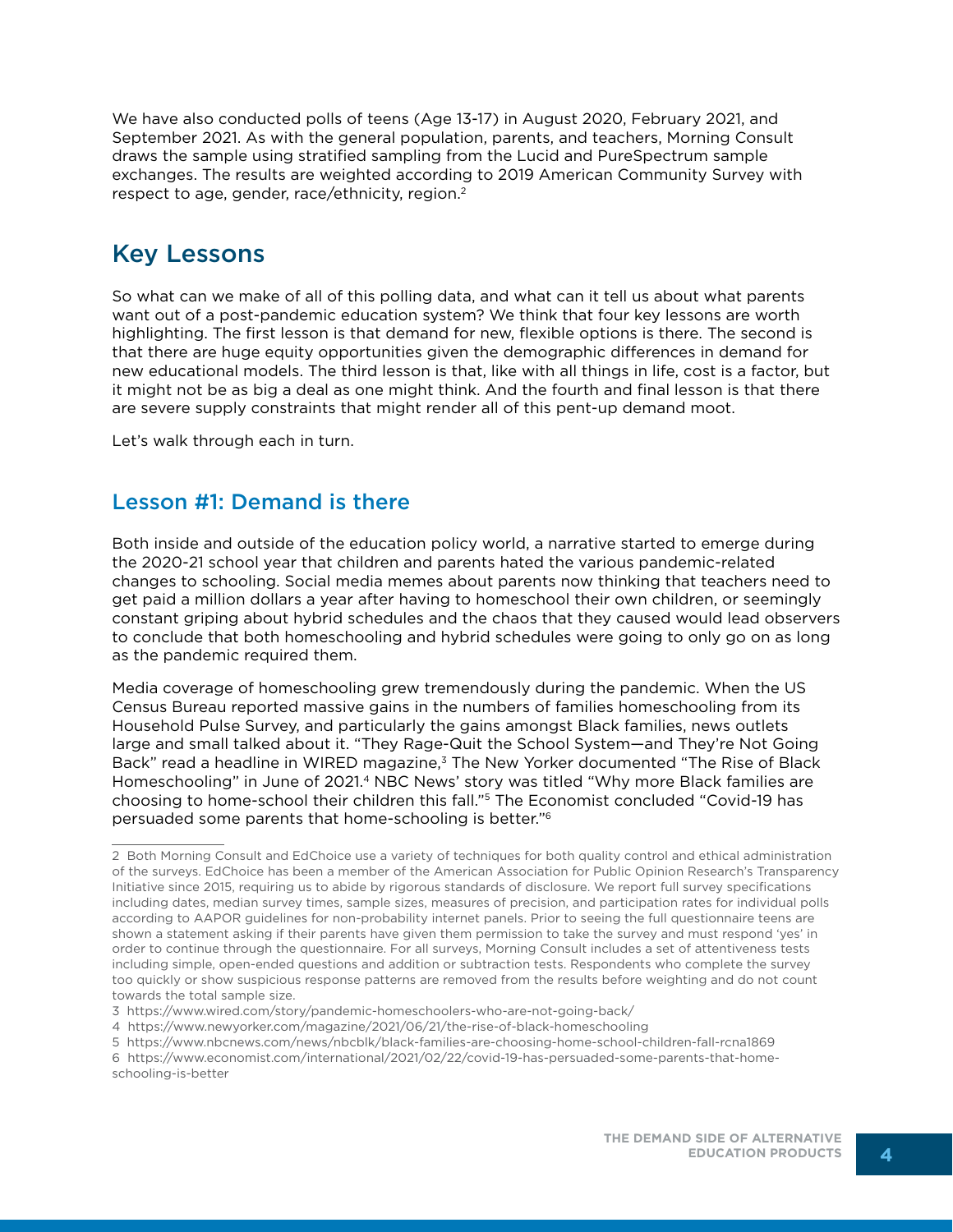We have also conducted polls of teens (Age 13-17) in August 2020, February 2021, and September 2021. As with the general population, parents, and teachers, Morning Consult draws the sample using stratified sampling from the Lucid and PureSpectrum sample exchanges. The results are weighted according to 2019 American Community Survey with respect to age, gender, race/ethnicity, region.<sup>2</sup>

# Key Lessons

So what can we make of all of this polling data, and what can it tell us about what parents want out of a post-pandemic education system? We think that four key lessons are worth highlighting. The first lesson is that demand for new, flexible options is there. The second is that there are huge equity opportunities given the demographic differences in demand for new educational models. The third lesson is that, like with all things in life, cost is a factor, but it might not be as big a deal as one might think. And the fourth and final lesson is that there are severe supply constraints that might render all of this pent-up demand moot.

Let's walk through each in turn.

### Lesson #1: Demand is there

Both inside and outside of the education policy world, a narrative started to emerge during the 2020-21 school year that children and parents hated the various pandemic-related changes to schooling. Social media memes about parents now thinking that teachers need to get paid a million dollars a year after having to homeschool their own children, or seemingly constant griping about hybrid schedules and the chaos that they caused would lead observers to conclude that both homeschooling and hybrid schedules were going to only go on as long as the pandemic required them.

Media coverage of homeschooling grew tremendously during the pandemic. When the US Census Bureau reported massive gains in the numbers of families homeschooling from its Household Pulse Survey, and particularly the gains amongst Black families, news outlets large and small talked about it. "They Rage-Quit the School System—and They're Not Going Back" read a headline in WIRED magazine,<sup>3</sup> The New Yorker documented "The Rise of Black Homeschooling" in June of 2021.4 NBC News' story was titled "Why more Black families are choosing to home-school their children this fall."5 The Economist concluded "Covid-19 has persuaded some parents that home-schooling is better."6

<sup>2</sup> Both Morning Consult and EdChoice use a variety of techniques for both quality control and ethical administration of the surveys. EdChoice has been a member of the American Association for Public Opinion Research's Transparency Initiative since 2015, requiring us to abide by rigorous standards of disclosure. We report full survey specifications including dates, median survey times, sample sizes, measures of precision, and participation rates for individual polls according to AAPOR guidelines for non-probability internet panels. Prior to seeing the full questionnaire teens are shown a statement asking if their parents have given them permission to take the survey and must respond 'yes' in order to continue through the questionnaire. For all surveys, Morning Consult includes a set of attentiveness tests including simple, open-ended questions and addition or subtraction tests. Respondents who complete the survey too quickly or show suspicious response patterns are removed from the results before weighting and do not count towards the total sample size.

<sup>3</sup> https://www.wired.com/story/pandemic-homeschoolers-who-are-not-going-back/

<sup>4</sup> https://www.newyorker.com/magazine/2021/06/21/the-rise-of-black-homeschooling

<sup>5</sup> https://www.nbcnews.com/news/nbcblk/black-families-are-choosing-home-school-children-fall-rcna1869 6 https://www.economist.com/international/2021/02/22/covid-19-has-persuaded-some-parents-that-homeschooling-is-better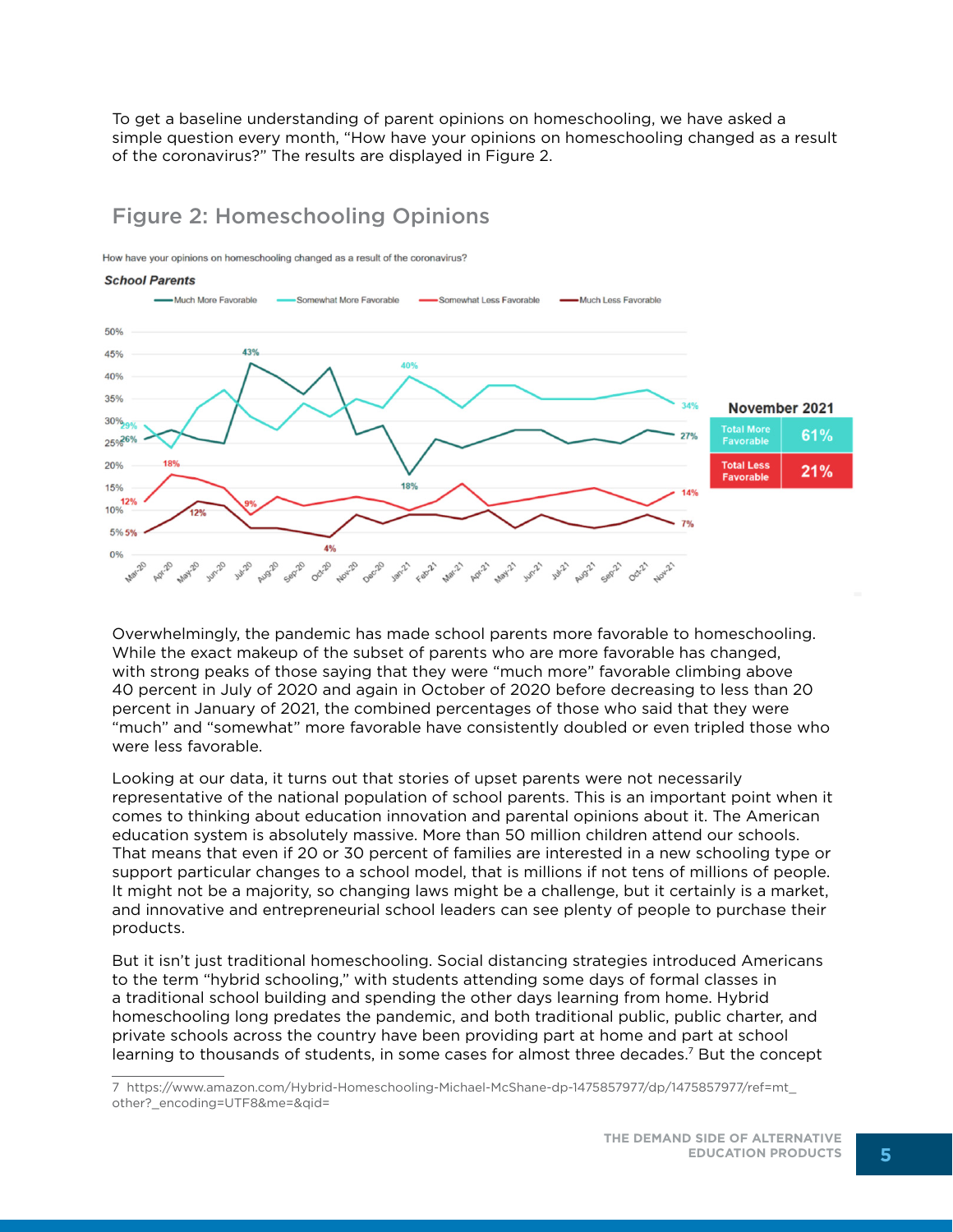To get a baseline understanding of parent opinions on homeschooling, we have asked a simple question every month, "How have your opinions on homeschooling changed as a result of the coronavirus?" The results are displayed in Figure 2.

### Figure 2: Homeschooling Opinions

How have your opinions on homeschooling changed as a result of the coronavirus?

#### **School Parents**



Overwhelmingly, the pandemic has made school parents more favorable to homeschooling. While the exact makeup of the subset of parents who are more favorable has changed, with strong peaks of those saying that they were "much more" favorable climbing above 40 percent in July of 2020 and again in October of 2020 before decreasing to less than 20 percent in January of 2021, the combined percentages of those who said that they were "much" and "somewhat" more favorable have consistently doubled or even tripled those who were less favorable.

Looking at our data, it turns out that stories of upset parents were not necessarily representative of the national population of school parents. This is an important point when it comes to thinking about education innovation and parental opinions about it. The American education system is absolutely massive. More than 50 million children attend our schools. That means that even if 20 or 30 percent of families are interested in a new schooling type or support particular changes to a school model, that is millions if not tens of millions of people. It might not be a majority, so changing laws might be a challenge, but it certainly is a market, and innovative and entrepreneurial school leaders can see plenty of people to purchase their products.

But it isn't just traditional homeschooling. Social distancing strategies introduced Americans to the term "hybrid schooling," with students attending some days of formal classes in a traditional school building and spending the other days learning from home. Hybrid homeschooling long predates the pandemic, and both traditional public, public charter, and private schools across the country have been providing part at home and part at school learning to thousands of students, in some cases for almost three decades.7 But the concept

<sup>7</sup> https://www.amazon.com/Hybrid-Homeschooling-Michael-McShane-dp-1475857977/dp/1475857977/ref=mt\_ other?\_encoding=UTF8&me=&qid=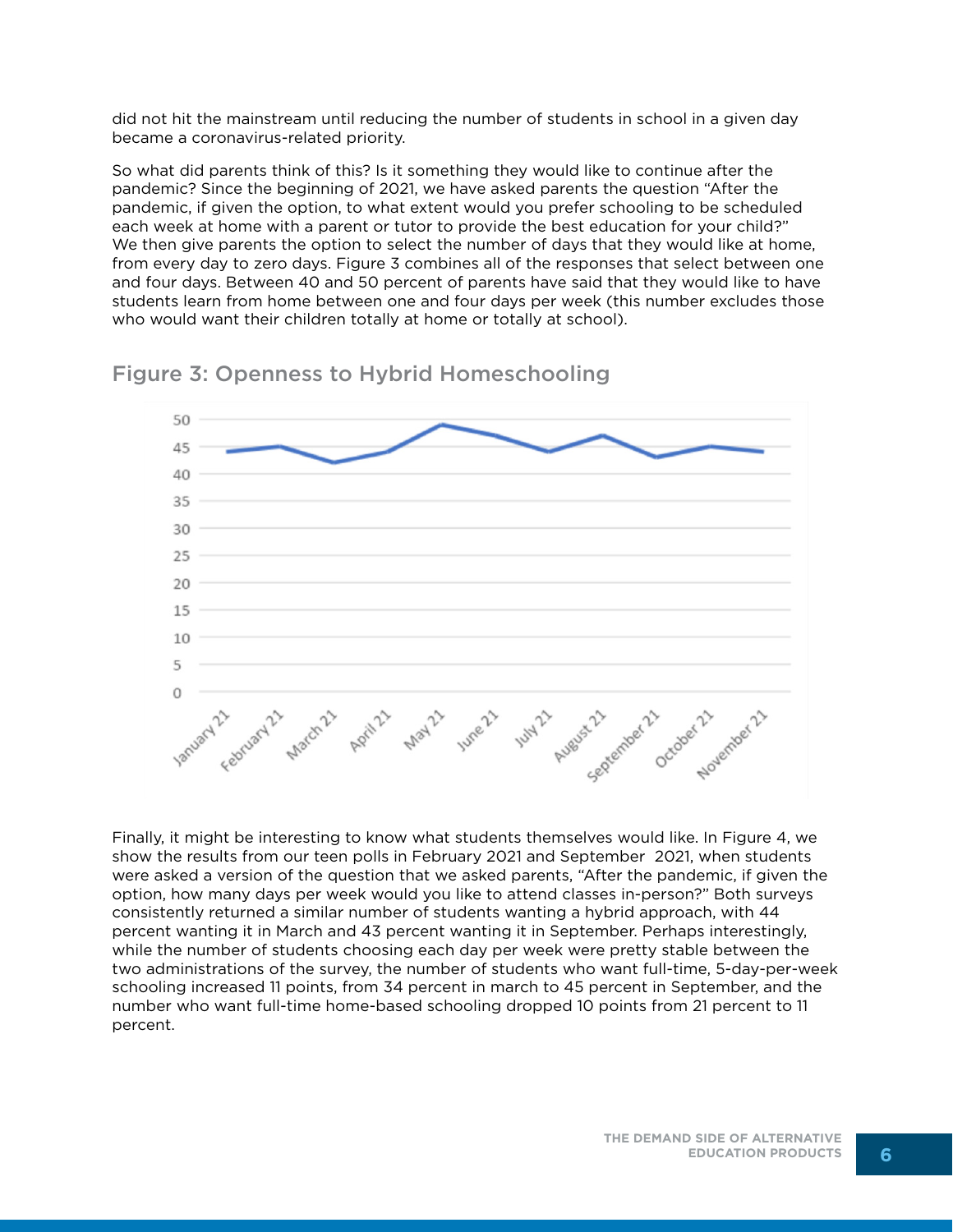did not hit the mainstream until reducing the number of students in school in a given day became a coronavirus-related priority.

So what did parents think of this? Is it something they would like to continue after the pandemic? Since the beginning of 2021, we have asked parents the question "After the pandemic, if given the option, to what extent would you prefer schooling to be scheduled each week at home with a parent or tutor to provide the best education for your child?" We then give parents the option to select the number of days that they would like at home, from every day to zero days. Figure 3 combines all of the responses that select between one and four days. Between 40 and 50 percent of parents have said that they would like to have students learn from home between one and four days per week (this number excludes those who would want their children totally at home or totally at school).



#### Figure 3: Openness to Hybrid Homeschooling

Finally, it might be interesting to know what students themselves would like. In Figure 4, we show the results from our teen polls in February 2021 and September 2021, when students were asked a version of the question that we asked parents, "After the pandemic, if given the option, how many days per week would you like to attend classes in-person?" Both surveys consistently returned a similar number of students wanting a hybrid approach, with 44 percent wanting it in March and 43 percent wanting it in September. Perhaps interestingly, while the number of students choosing each day per week were pretty stable between the two administrations of the survey, the number of students who want full-time, 5-day-per-week schooling increased 11 points, from 34 percent in march to 45 percent in September, and the number who want full-time home-based schooling dropped 10 points from 21 percent to 11 percent.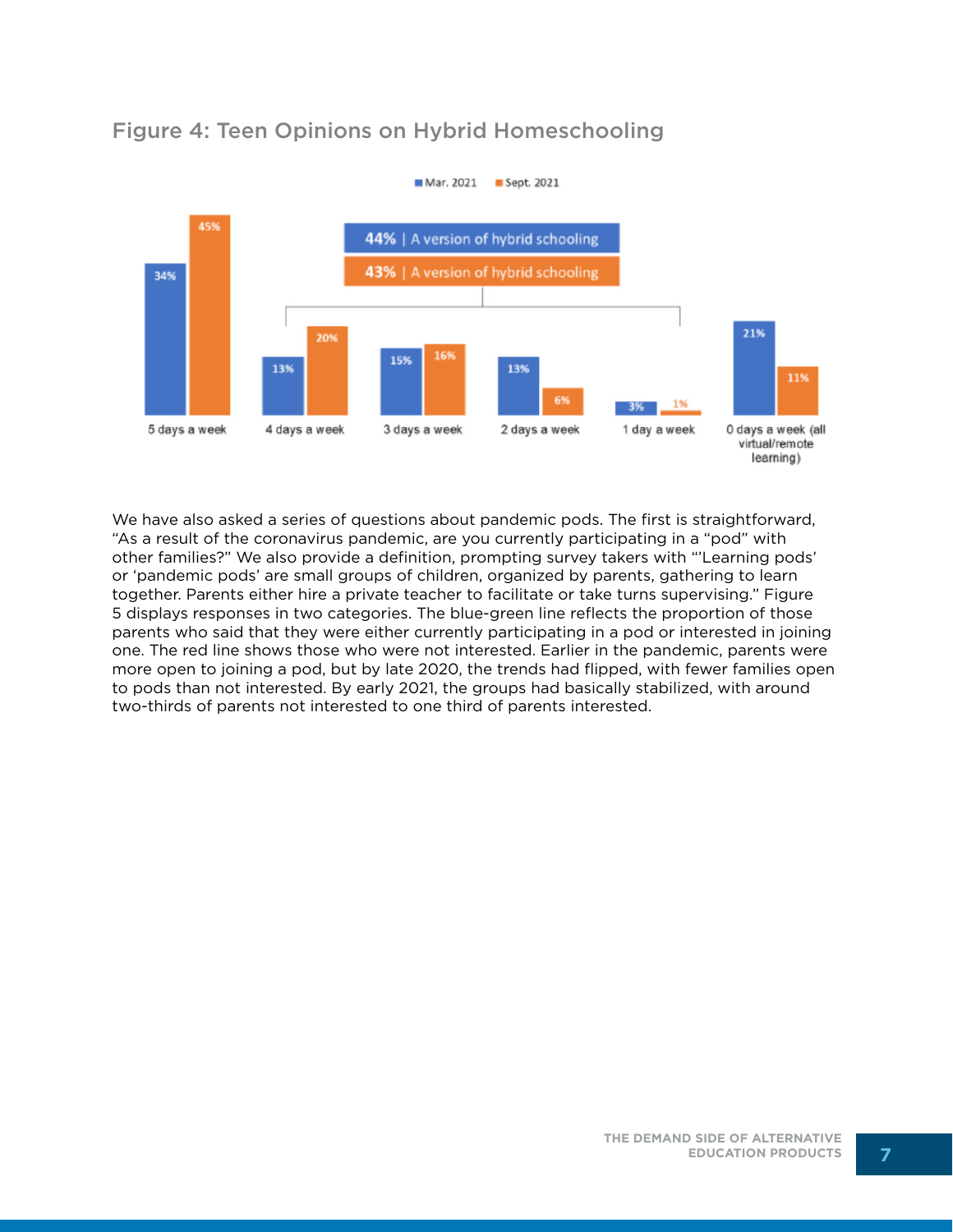

## Figure 4: Teen Opinions on Hybrid Homeschooling

We have also asked a series of questions about pandemic pods. The first is straightforward, "As a result of the coronavirus pandemic, are you currently participating in a "pod" with other families?" We also provide a definition, prompting survey takers with "'Learning pods' or 'pandemic pods' are small groups of children, organized by parents, gathering to learn together. Parents either hire a private teacher to facilitate or take turns supervising." Figure 5 displays responses in two categories. The blue-green line reflects the proportion of those parents who said that they were either currently participating in a pod or interested in joining one. The red line shows those who were not interested. Earlier in the pandemic, parents were more open to joining a pod, but by late 2020, the trends had flipped, with fewer families open to pods than not interested. By early 2021, the groups had basically stabilized, with around two-thirds of parents not interested to one third of parents interested.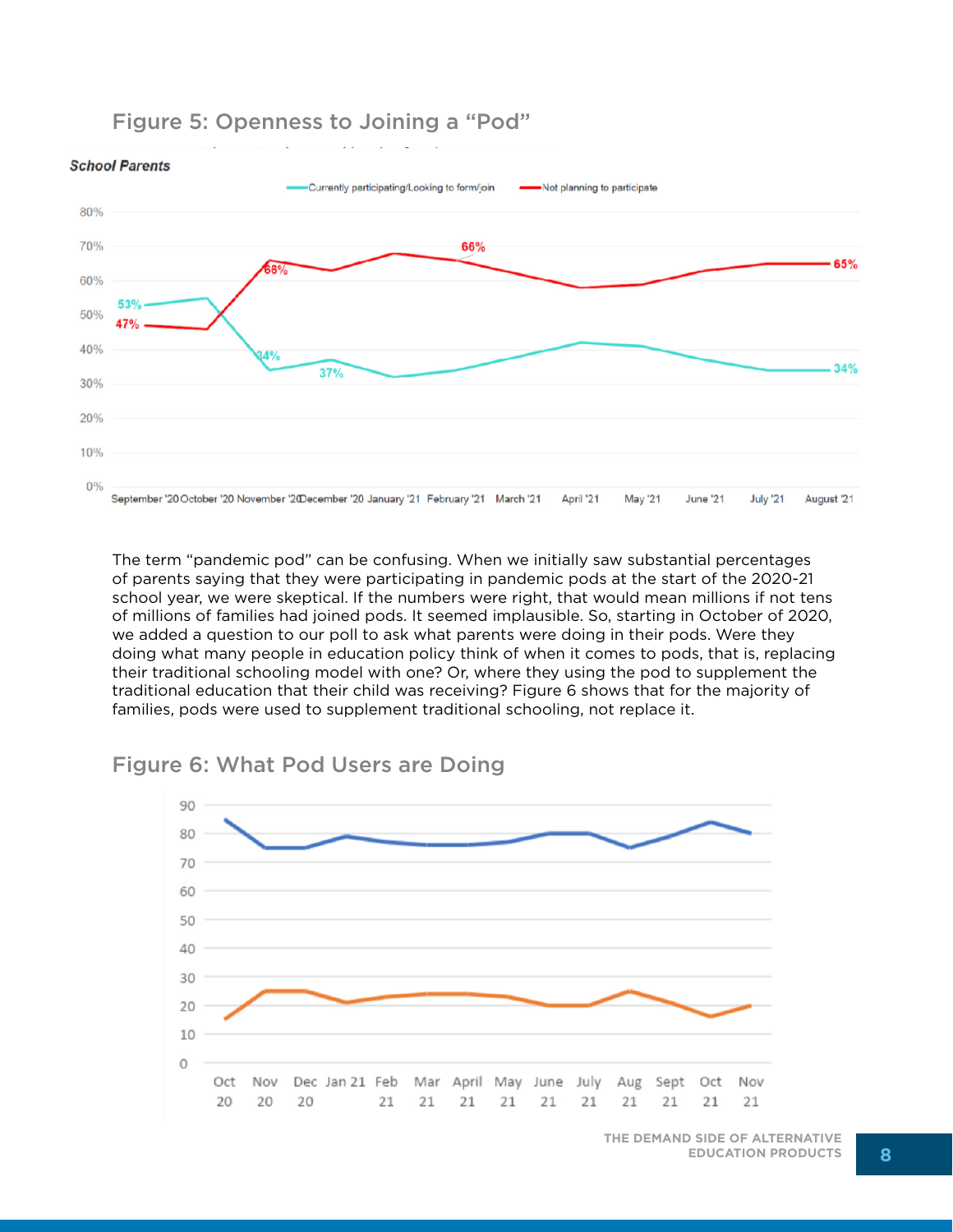#### Figure 5: Openness to Joining a "Pod"



The term "pandemic pod" can be confusing. When we initially saw substantial percentages of parents saying that they were participating in pandemic pods at the start of the 2020-21 school year, we were skeptical. If the numbers were right, that would mean millions if not tens of millions of families had joined pods. It seemed implausible. So, starting in October of 2020, we added a question to our poll to ask what parents were doing in their pods. Were they doing what many people in education policy think of when it comes to pods, that is, replacing their traditional schooling model with one? Or, where they using the pod to supplement the traditional education that their child was receiving? Figure 6 shows that for the majority of families, pods were used to supplement traditional schooling, not replace it.

#### Figure 6: What Pod Users are Doing



**THE DEMAND SIDE OF ALTERNATIVE EDUCATION PRODUCTS 8**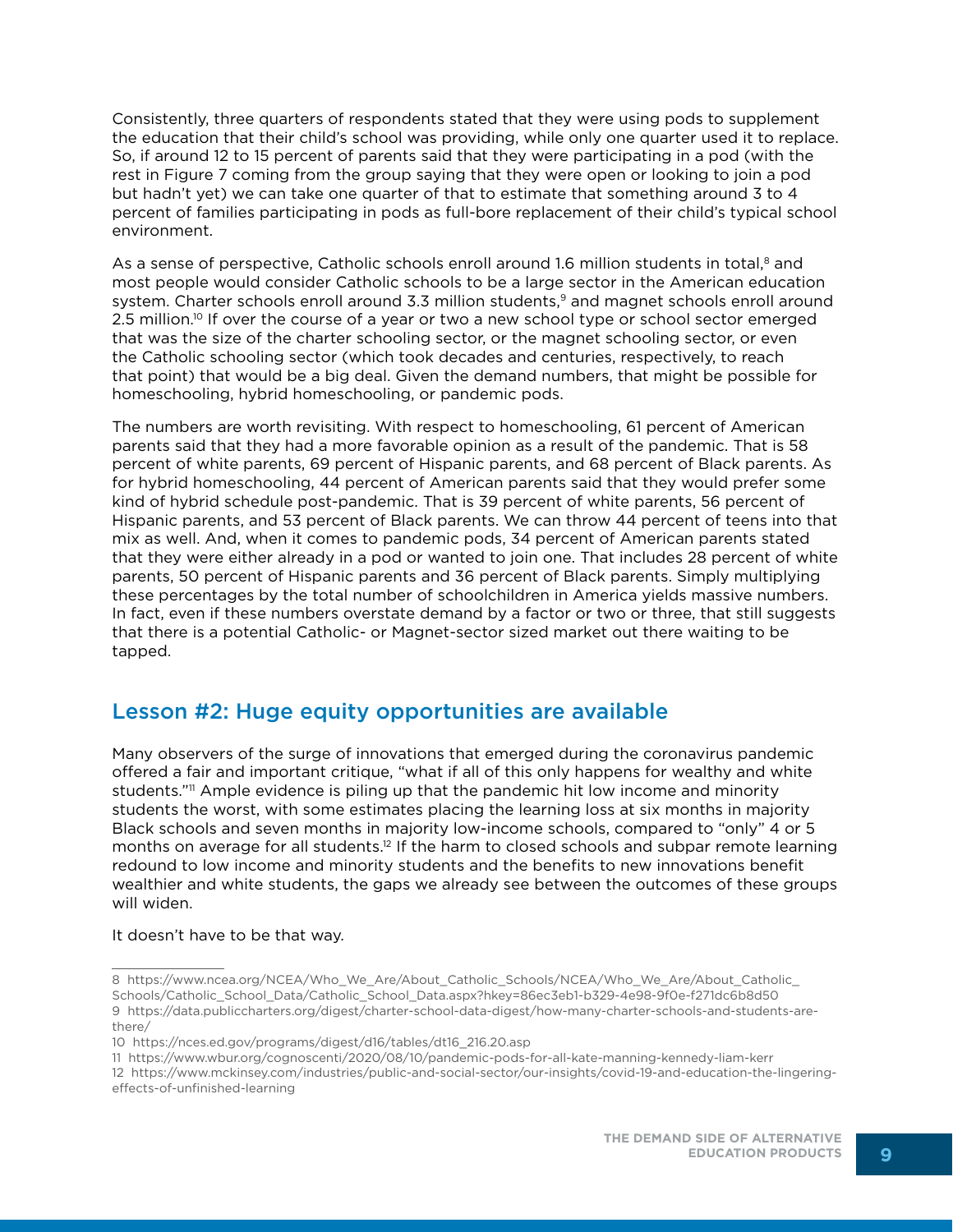Consistently, three quarters of respondents stated that they were using pods to supplement the education that their child's school was providing, while only one quarter used it to replace. So, if around 12 to 15 percent of parents said that they were participating in a pod (with the rest in Figure 7 coming from the group saying that they were open or looking to join a pod but hadn't yet) we can take one quarter of that to estimate that something around 3 to 4 percent of families participating in pods as full-bore replacement of their child's typical school environment.

As a sense of perspective, Catholic schools enroll around 1.6 million students in total, $^8$  and most people would consider Catholic schools to be a large sector in the American education system. Charter schools enroll around 3.3 million students,<sup>9</sup> and magnet schools enroll around 2.5 million.<sup>10</sup> If over the course of a year or two a new school type or school sector emerged that was the size of the charter schooling sector, or the magnet schooling sector, or even the Catholic schooling sector (which took decades and centuries, respectively, to reach that point) that would be a big deal. Given the demand numbers, that might be possible for homeschooling, hybrid homeschooling, or pandemic pods.

The numbers are worth revisiting. With respect to homeschooling, 61 percent of American parents said that they had a more favorable opinion as a result of the pandemic. That is 58 percent of white parents, 69 percent of Hispanic parents, and 68 percent of Black parents. As for hybrid homeschooling, 44 percent of American parents said that they would prefer some kind of hybrid schedule post-pandemic. That is 39 percent of white parents, 56 percent of Hispanic parents, and 53 percent of Black parents. We can throw 44 percent of teens into that mix as well. And, when it comes to pandemic pods, 34 percent of American parents stated that they were either already in a pod or wanted to join one. That includes 28 percent of white parents, 50 percent of Hispanic parents and 36 percent of Black parents. Simply multiplying these percentages by the total number of schoolchildren in America yields massive numbers. In fact, even if these numbers overstate demand by a factor or two or three, that still suggests that there is a potential Catholic- or Magnet-sector sized market out there waiting to be tapped.

#### Lesson #2: Huge equity opportunities are available

Many observers of the surge of innovations that emerged during the coronavirus pandemic offered a fair and important critique, "what if all of this only happens for wealthy and white students."<sup>11</sup> Ample evidence is piling up that the pandemic hit low income and minority students the worst, with some estimates placing the learning loss at six months in majority Black schools and seven months in majority low-income schools, compared to "only" 4 or 5 months on average for all students.<sup>12</sup> If the harm to closed schools and subpar remote learning redound to low income and minority students and the benefits to new innovations benefit wealthier and white students, the gaps we already see between the outcomes of these groups will widen.

#### It doesn't have to be that way.

<sup>8</sup> https://www.ncea.org/NCEA/Who\_We\_Are/About\_Catholic\_Schools/NCEA/Who\_We\_Are/About\_Catholic\_ Schools/Catholic\_School\_Data/Catholic\_School\_Data.aspx?hkey=86ec3eb1-b329-4e98-9f0e-f271dc6b8d50 9 https://data.publiccharters.org/digest/charter-school-data-digest/how-many-charter-schools-and-students-arethere/

<sup>10</sup> https://nces.ed.gov/programs/digest/d16/tables/dt16\_216.20.asp

<sup>11</sup> https://www.wbur.org/cognoscenti/2020/08/10/pandemic-pods-for-all-kate-manning-kennedy-liam-kerr

<sup>12</sup> https://www.mckinsey.com/industries/public-and-social-sector/our-insights/covid-19-and-education-the-lingeringeffects-of-unfinished-learning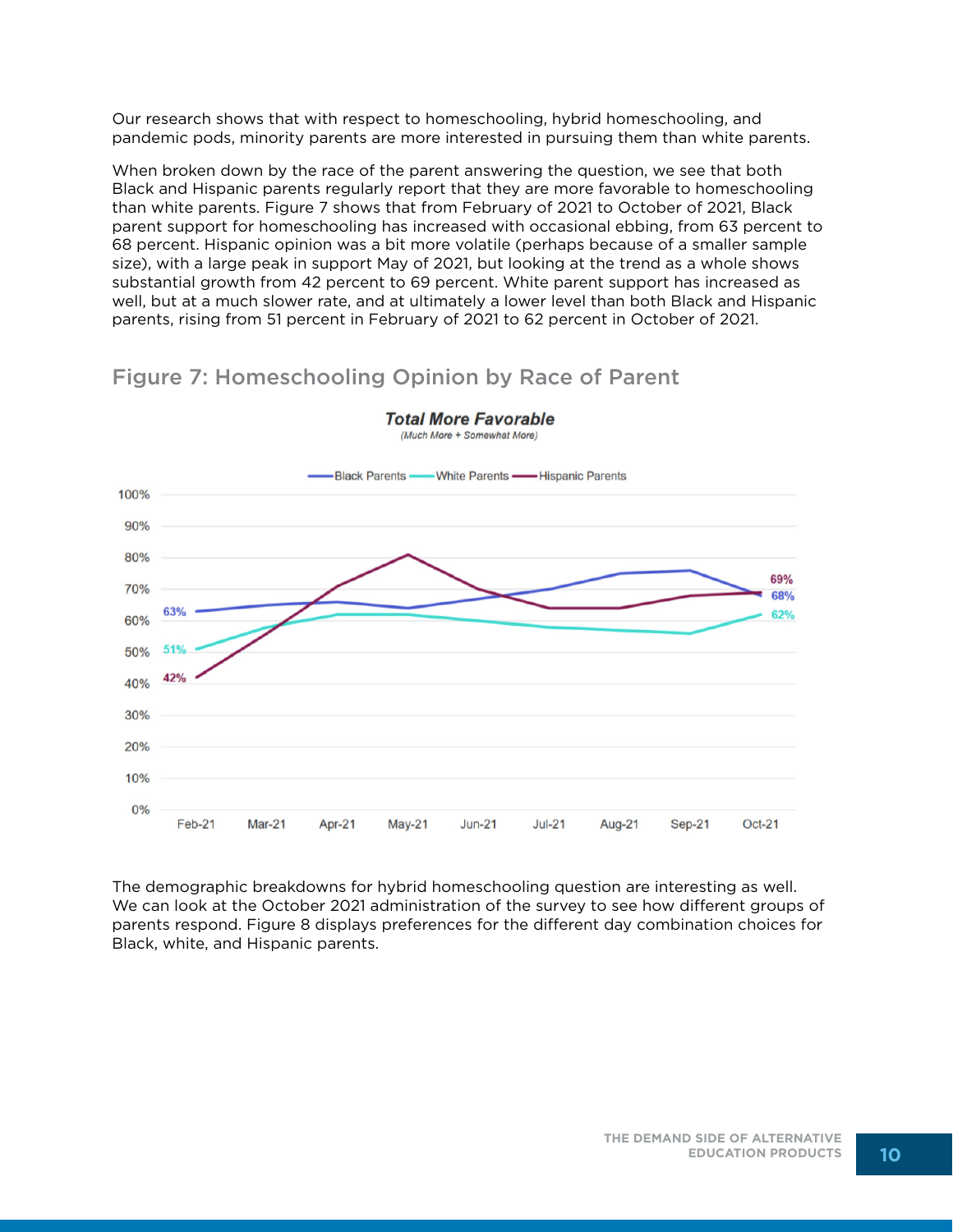Our research shows that with respect to homeschooling, hybrid homeschooling, and pandemic pods, minority parents are more interested in pursuing them than white parents.

When broken down by the race of the parent answering the question, we see that both Black and Hispanic parents regularly report that they are more favorable to homeschooling than white parents. Figure 7 shows that from February of 2021 to October of 2021, Black parent support for homeschooling has increased with occasional ebbing, from 63 percent to 68 percent. Hispanic opinion was a bit more volatile (perhaps because of a smaller sample size), with a large peak in support May of 2021, but looking at the trend as a whole shows substantial growth from 42 percent to 69 percent. White parent support has increased as well, but at a much slower rate, and at ultimately a lower level than both Black and Hispanic parents, rising from 51 percent in February of 2021 to 62 percent in October of 2021.

## Figure 7: Homeschooling Opinion by Race of Parent



**Total More Favorable** (Much More + Somewhat More)

The demographic breakdowns for hybrid homeschooling question are interesting as well. We can look at the October 2021 administration of the survey to see how different groups of parents respond. Figure 8 displays preferences for the different day combination choices for Black, white, and Hispanic parents.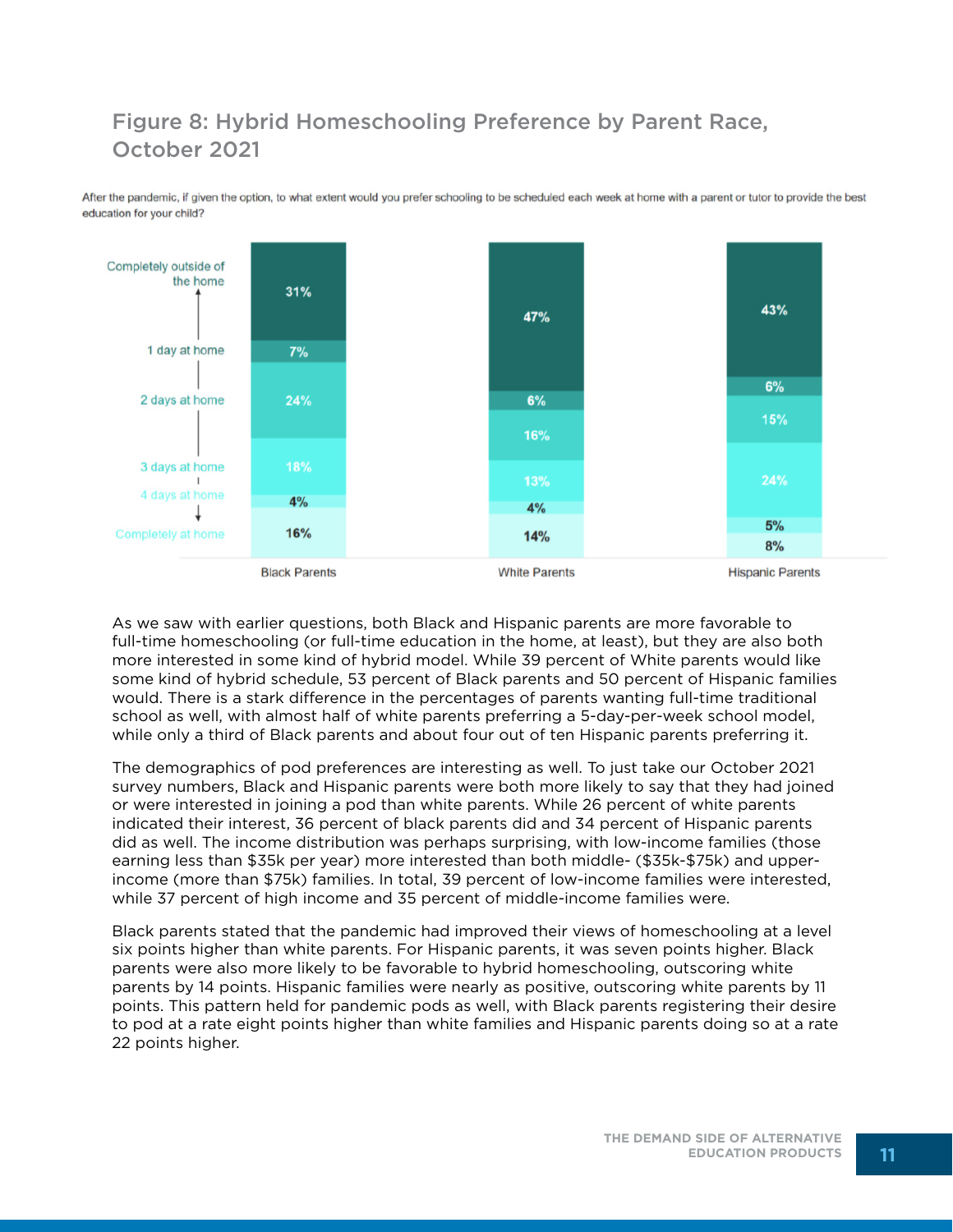# Figure 8: Hybrid Homeschooling Preference by Parent Race, October 2021

After the pandemic, if given the option, to what extent would you prefer schooling to be scheduled each week at home with a parent or tutor to provide the best education for your child?



As we saw with earlier questions, both Black and Hispanic parents are more favorable to full-time homeschooling (or full-time education in the home, at least), but they are also both more interested in some kind of hybrid model. While 39 percent of White parents would like some kind of hybrid schedule, 53 percent of Black parents and 50 percent of Hispanic families would. There is a stark difference in the percentages of parents wanting full-time traditional school as well, with almost half of white parents preferring a 5-day-per-week school model, while only a third of Black parents and about four out of ten Hispanic parents preferring it.

The demographics of pod preferences are interesting as well. To just take our October 2021 survey numbers, Black and Hispanic parents were both more likely to say that they had joined or were interested in joining a pod than white parents. While 26 percent of white parents indicated their interest, 36 percent of black parents did and 34 percent of Hispanic parents did as well. The income distribution was perhaps surprising, with low-income families (those earning less than \$35k per year) more interested than both middle- (\$35k-\$75k) and upperincome (more than \$75k) families. In total, 39 percent of low-income families were interested, while 37 percent of high income and 35 percent of middle-income families were.

Black parents stated that the pandemic had improved their views of homeschooling at a level six points higher than white parents. For Hispanic parents, it was seven points higher. Black parents were also more likely to be favorable to hybrid homeschooling, outscoring white parents by 14 points. Hispanic families were nearly as positive, outscoring white parents by 11 points. This pattern held for pandemic pods as well, with Black parents registering their desire to pod at a rate eight points higher than white families and Hispanic parents doing so at a rate 22 points higher.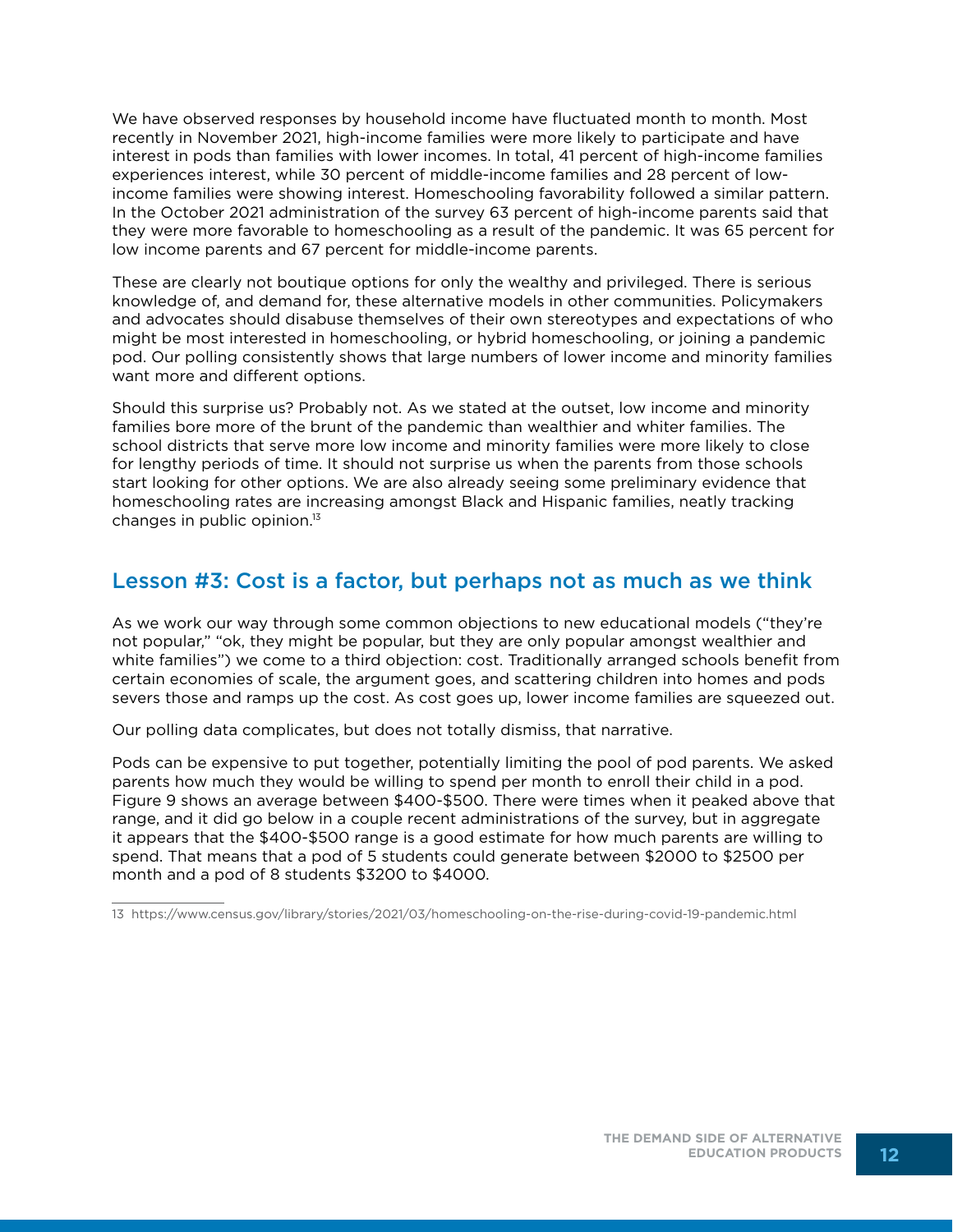We have observed responses by household income have fluctuated month to month. Most recently in November 2021, high-income families were more likely to participate and have interest in pods than families with lower incomes. In total, 41 percent of high-income families experiences interest, while 30 percent of middle-income families and 28 percent of lowincome families were showing interest. Homeschooling favorability followed a similar pattern. In the October 2021 administration of the survey 63 percent of high-income parents said that they were more favorable to homeschooling as a result of the pandemic. It was 65 percent for low income parents and 67 percent for middle-income parents.

These are clearly not boutique options for only the wealthy and privileged. There is serious knowledge of, and demand for, these alternative models in other communities. Policymakers and advocates should disabuse themselves of their own stereotypes and expectations of who might be most interested in homeschooling, or hybrid homeschooling, or joining a pandemic pod. Our polling consistently shows that large numbers of lower income and minority families want more and different options.

Should this surprise us? Probably not. As we stated at the outset, low income and minority families bore more of the brunt of the pandemic than wealthier and whiter families. The school districts that serve more low income and minority families were more likely to close for lengthy periods of time. It should not surprise us when the parents from those schools start looking for other options. We are also already seeing some preliminary evidence that homeschooling rates are increasing amongst Black and Hispanic families, neatly tracking changes in public opinion. $13$ 

#### Lesson #3: Cost is a factor, but perhaps not as much as we think

As we work our way through some common objections to new educational models ("they're not popular," "ok, they might be popular, but they are only popular amongst wealthier and white families") we come to a third objection: cost. Traditionally arranged schools benefit from certain economies of scale, the argument goes, and scattering children into homes and pods severs those and ramps up the cost. As cost goes up, lower income families are squeezed out.

Our polling data complicates, but does not totally dismiss, that narrative.

Pods can be expensive to put together, potentially limiting the pool of pod parents. We asked parents how much they would be willing to spend per month to enroll their child in a pod. Figure 9 shows an average between \$400-\$500. There were times when it peaked above that range, and it did go below in a couple recent administrations of the survey, but in aggregate it appears that the \$400-\$500 range is a good estimate for how much parents are willing to spend. That means that a pod of 5 students could generate between \$2000 to \$2500 per month and a pod of 8 students \$3200 to \$4000.

13 https://www.census.gov/library/stories/2021/03/homeschooling-on-the-rise-during-covid-19-pandemic.html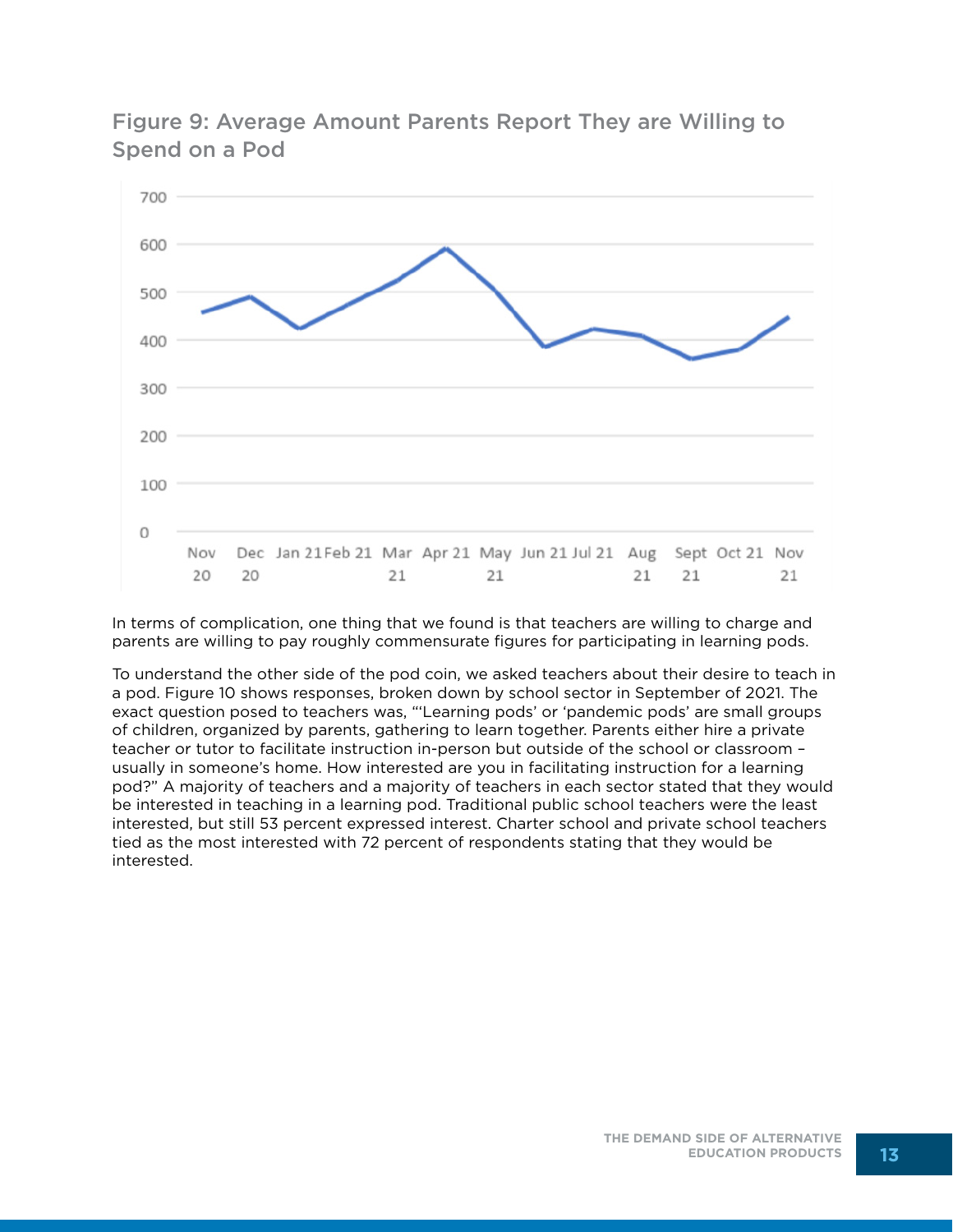

Figure 9: Average Amount Parents Report They are Willing to Spend on a Pod

In terms of complication, one thing that we found is that teachers are willing to charge and parents are willing to pay roughly commensurate figures for participating in learning pods.

To understand the other side of the pod coin, we asked teachers about their desire to teach in a pod. Figure 10 shows responses, broken down by school sector in September of 2021. The exact question posed to teachers was, "'Learning pods' or 'pandemic pods' are small groups of children, organized by parents, gathering to learn together. Parents either hire a private teacher or tutor to facilitate instruction in-person but outside of the school or classroom – usually in someone's home. How interested are you in facilitating instruction for a learning pod?" A majority of teachers and a majority of teachers in each sector stated that they would be interested in teaching in a learning pod. Traditional public school teachers were the least interested, but still 53 percent expressed interest. Charter school and private school teachers tied as the most interested with 72 percent of respondents stating that they would be interested.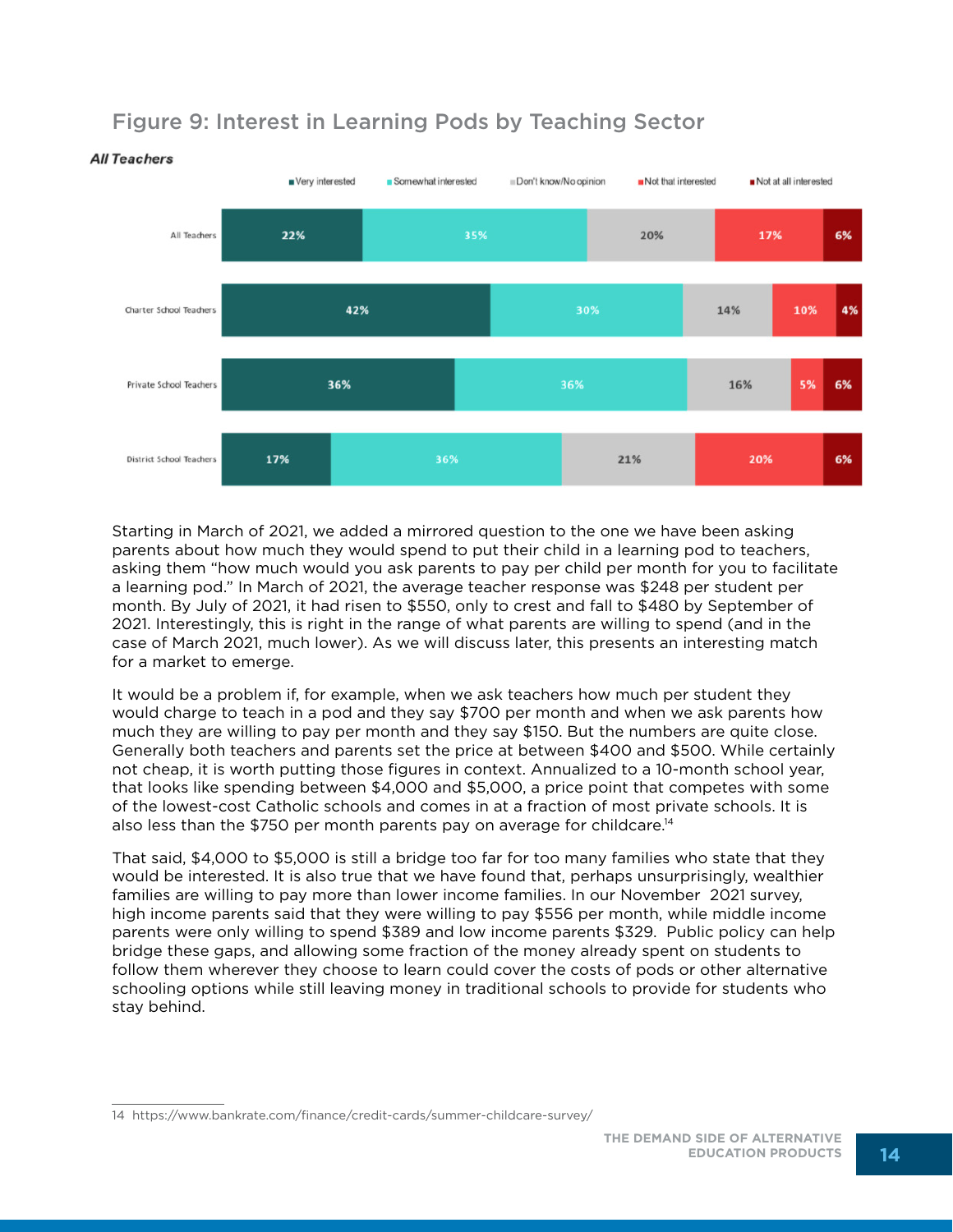

## Figure 9: Interest in Learning Pods by Teaching Sector

Starting in March of 2021, we added a mirrored question to the one we have been asking parents about how much they would spend to put their child in a learning pod to teachers, asking them "how much would you ask parents to pay per child per month for you to facilitate a learning pod." In March of 2021, the average teacher response was \$248 per student per month. By July of 2021, it had risen to \$550, only to crest and fall to \$480 by September of 2021. Interestingly, this is right in the range of what parents are willing to spend (and in the case of March 2021, much lower). As we will discuss later, this presents an interesting match for a market to emerge.

It would be a problem if, for example, when we ask teachers how much per student they would charge to teach in a pod and they say \$700 per month and when we ask parents how much they are willing to pay per month and they say \$150. But the numbers are quite close. Generally both teachers and parents set the price at between \$400 and \$500. While certainly not cheap, it is worth putting those figures in context. Annualized to a 10-month school year, that looks like spending between \$4,000 and \$5,000, a price point that competes with some of the lowest-cost Catholic schools and comes in at a fraction of most private schools. It is also less than the \$750 per month parents pay on average for childcare.14

That said, \$4,000 to \$5,000 is still a bridge too far for too many families who state that they would be interested. It is also true that we have found that, perhaps unsurprisingly, wealthier families are willing to pay more than lower income families. In our November 2021 survey, high income parents said that they were willing to pay \$556 per month, while middle income parents were only willing to spend \$389 and low income parents \$329. Public policy can help bridge these gaps, and allowing some fraction of the money already spent on students to follow them wherever they choose to learn could cover the costs of pods or other alternative schooling options while still leaving money in traditional schools to provide for students who stay behind.

<sup>14</sup> https://www.bankrate.com/finance/credit-cards/summer-childcare-survey/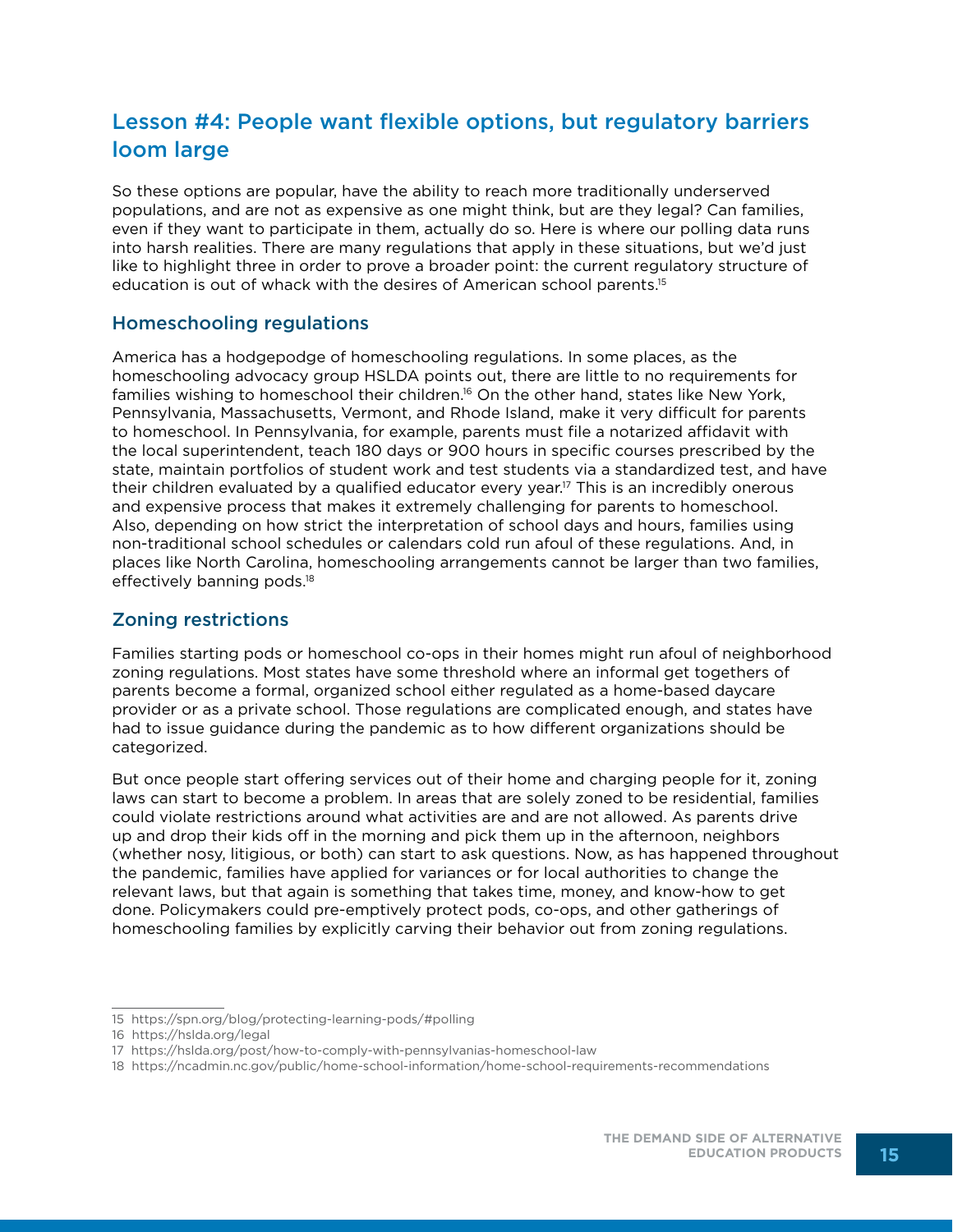## Lesson #4: People want flexible options, but regulatory barriers loom large

So these options are popular, have the ability to reach more traditionally underserved populations, and are not as expensive as one might think, but are they legal? Can families, even if they want to participate in them, actually do so. Here is where our polling data runs into harsh realities. There are many regulations that apply in these situations, but we'd just like to highlight three in order to prove a broader point: the current regulatory structure of education is out of whack with the desires of American school parents.15

#### Homeschooling regulations

America has a hodgepodge of homeschooling regulations. In some places, as the homeschooling advocacy group HSLDA points out, there are little to no requirements for families wishing to homeschool their children.<sup>16</sup> On the other hand, states like New York, Pennsylvania, Massachusetts, Vermont, and Rhode Island, make it very difficult for parents to homeschool. In Pennsylvania, for example, parents must file a notarized affidavit with the local superintendent, teach 180 days or 900 hours in specific courses prescribed by the state, maintain portfolios of student work and test students via a standardized test, and have their children evaluated by a qualified educator every year.<sup>17</sup> This is an incredibly onerous and expensive process that makes it extremely challenging for parents to homeschool. Also, depending on how strict the interpretation of school days and hours, families using non-traditional school schedules or calendars cold run afoul of these regulations. And, in places like North Carolina, homeschooling arrangements cannot be larger than two families, effectively banning pods.18

#### Zoning restrictions

Families starting pods or homeschool co-ops in their homes might run afoul of neighborhood zoning regulations. Most states have some threshold where an informal get togethers of parents become a formal, organized school either regulated as a home-based daycare provider or as a private school. Those regulations are complicated enough, and states have had to issue guidance during the pandemic as to how different organizations should be categorized.

But once people start offering services out of their home and charging people for it, zoning laws can start to become a problem. In areas that are solely zoned to be residential, families could violate restrictions around what activities are and are not allowed. As parents drive up and drop their kids off in the morning and pick them up in the afternoon, neighbors (whether nosy, litigious, or both) can start to ask questions. Now, as has happened throughout the pandemic, families have applied for variances or for local authorities to change the relevant laws, but that again is something that takes time, money, and know-how to get done. Policymakers could pre-emptively protect pods, co-ops, and other gatherings of homeschooling families by explicitly carving their behavior out from zoning regulations.

<sup>15</sup> https://spn.org/blog/protecting-learning-pods/#polling

<sup>16</sup> https://hslda.org/legal

<sup>17</sup> https://hslda.org/post/how-to-comply-with-pennsylvanias-homeschool-law

<sup>18</sup> https://ncadmin.nc.gov/public/home-school-information/home-school-requirements-recommendations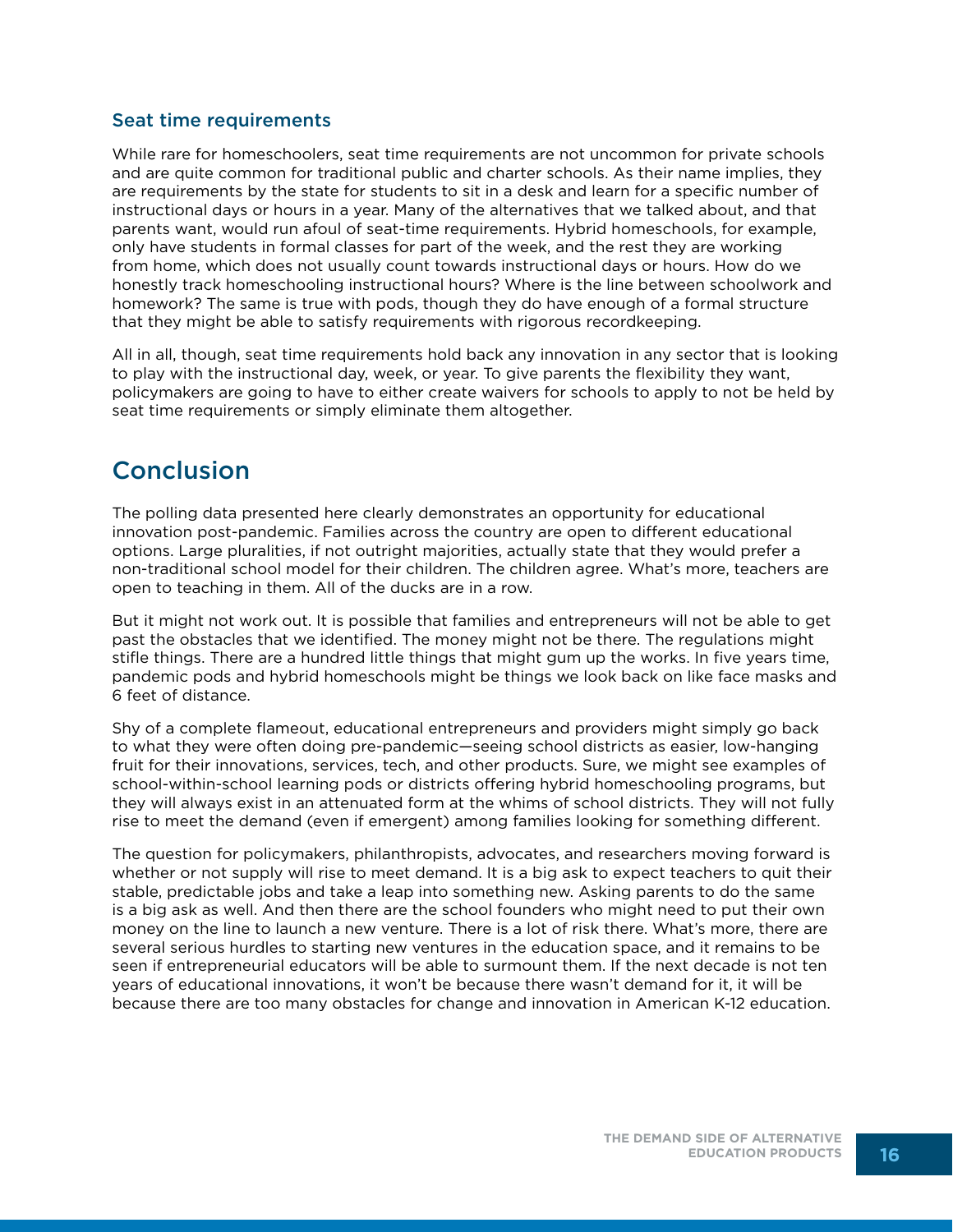#### Seat time requirements

While rare for homeschoolers, seat time requirements are not uncommon for private schools and are quite common for traditional public and charter schools. As their name implies, they are requirements by the state for students to sit in a desk and learn for a specific number of instructional days or hours in a year. Many of the alternatives that we talked about, and that parents want, would run afoul of seat-time requirements. Hybrid homeschools, for example, only have students in formal classes for part of the week, and the rest they are working from home, which does not usually count towards instructional days or hours. How do we honestly track homeschooling instructional hours? Where is the line between schoolwork and homework? The same is true with pods, though they do have enough of a formal structure that they might be able to satisfy requirements with rigorous recordkeeping.

All in all, though, seat time requirements hold back any innovation in any sector that is looking to play with the instructional day, week, or year. To give parents the flexibility they want, policymakers are going to have to either create waivers for schools to apply to not be held by seat time requirements or simply eliminate them altogether.

## **Conclusion**

The polling data presented here clearly demonstrates an opportunity for educational innovation post-pandemic. Families across the country are open to different educational options. Large pluralities, if not outright majorities, actually state that they would prefer a non-traditional school model for their children. The children agree. What's more, teachers are open to teaching in them. All of the ducks are in a row.

But it might not work out. It is possible that families and entrepreneurs will not be able to get past the obstacles that we identified. The money might not be there. The regulations might stifle things. There are a hundred little things that might gum up the works. In five years time, pandemic pods and hybrid homeschools might be things we look back on like face masks and 6 feet of distance.

Shy of a complete flameout, educational entrepreneurs and providers might simply go back to what they were often doing pre-pandemic—seeing school districts as easier, low-hanging fruit for their innovations, services, tech, and other products. Sure, we might see examples of school-within-school learning pods or districts offering hybrid homeschooling programs, but they will always exist in an attenuated form at the whims of school districts. They will not fully rise to meet the demand (even if emergent) among families looking for something different.

The question for policymakers, philanthropists, advocates, and researchers moving forward is whether or not supply will rise to meet demand. It is a big ask to expect teachers to quit their stable, predictable jobs and take a leap into something new. Asking parents to do the same is a big ask as well. And then there are the school founders who might need to put their own money on the line to launch a new venture. There is a lot of risk there. What's more, there are several serious hurdles to starting new ventures in the education space, and it remains to be seen if entrepreneurial educators will be able to surmount them. If the next decade is not ten years of educational innovations, it won't be because there wasn't demand for it, it will be because there are too many obstacles for change and innovation in American K-12 education.